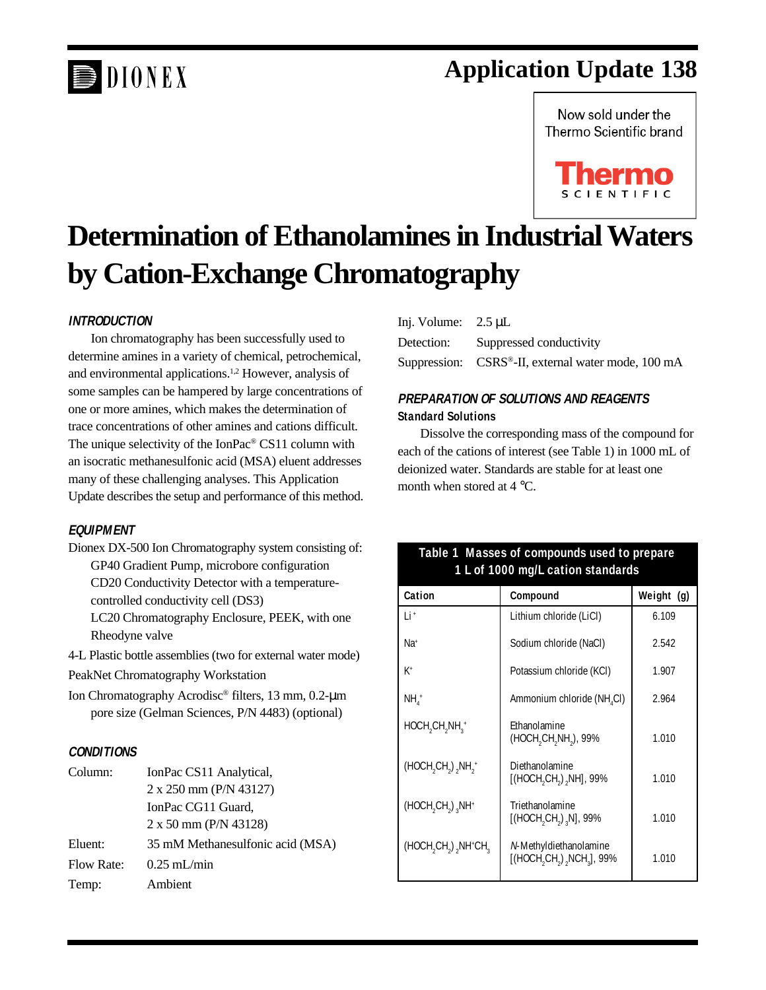# DIONEX

# **Application Update 138**

Now sold under the Thermo Scientific brand



# **Determination of Ethanolamines in Industrial Waters by Cation-Exchange Chromatography**

## **INTRODUCTION**

Ion chromatography has been successfully used to determine amines in a variety of chemical, petrochemical, and environmental applications.1,2 However, analysis of some samples can be hampered by large concentrations of one or more amines, which makes the determination of trace concentrations of other amines and cations difficult. The unique selectivity of the IonPac® CS11 column with an isocratic methanesulfonic acid (MSA) eluent addresses many of these challenging analyses. This Application Update describes the setup and performance of this method.

## **EQUIPMENT**

Dionex DX-500 Ion Chromatography system consisting of: GP40 Gradient Pump, microbore configuration CD20 Conductivity Detector with a temperaturecontrolled conductivity cell (DS3)

LC20 Chromatography Enclosure, PEEK, with one Rheodyne valve

4-L Plastic bottle assemblies (two for external water mode) PeakNet Chromatography Workstation

Ion Chromatography Acrodisc® filters, 13 mm, 0.2-µm pore size (Gelman Sciences, P/N 4483) (optional)

## **CONDITIONS**

| Column:           | IonPac CS11 Analytical,          |  |
|-------------------|----------------------------------|--|
|                   | $2 \times 250$ mm (P/N 43127)    |  |
|                   | IonPac CG11 Guard,               |  |
|                   | 2 x 50 mm (P/N 43128)            |  |
| Eluent:           | 35 mM Methanesulfonic acid (MSA) |  |
| <b>Flow Rate:</b> | $0.25$ mL/min                    |  |
| Temp:             | Ambient                          |  |

| Inj. Volume: $2.5 \mu L$ |                                                    |
|--------------------------|----------------------------------------------------|
|                          | Detection: Suppressed conductivity                 |
|                          | Suppression: CSRS®-II, external water mode, 100 mA |

# **PREPARATION OF SOLUTIONS AND REAGENTS Standard Solutions**

Dissolve the corresponding mass of the compound for each of the cations of interest (see Table 1) in 1000 mL of deionized water. Standards are stable for at least one month when stored at 4 °C.

# **Table 1 Masses of compounds used to prepare 1 L of 1000 mg/L cation standards**

| Cation                                                         | Compound                                                          | Weight (g) |
|----------------------------------------------------------------|-------------------------------------------------------------------|------------|
| l i +                                                          | Lithium chloride (LiCl)                                           | 6.109      |
| Na <sup>+</sup>                                                | Sodium chloride (NaCl)                                            | 2.542      |
| K+                                                             | Potassium chloride (KCI)                                          | 1.907      |
| NH,+                                                           | Ammonium chloride (NH <sub>4</sub> CI)                            | 2.964      |
| HOCH <sub>2</sub> CH <sub>2</sub> NH <sub>2</sub> <sup>+</sup> | Ethanolamine<br>(HOCH,CH,NH,), 99%                                | 1.010      |
| $(HOCH, CH2)$ , $NH2$ <sup>+</sup>                             | Diethanolamine<br>[(HOCH,CH,),NH], 99%                            | 1.010      |
| $(HOCH, CH, )$ , NH <sup>+</sup>                               | Triethanolamine<br>[(HOCH <sub>2</sub> CH <sub>2</sub> ), N], 99% | 1.010      |
| (HOCH, CH <sub>2</sub> ), NH <sup>+</sup> CH <sub>2</sub>      | N-Methyldiethanolamine<br>[(HOCH, CH,), NCH, J, 99%               | 1.010      |

*Application Update 138 1*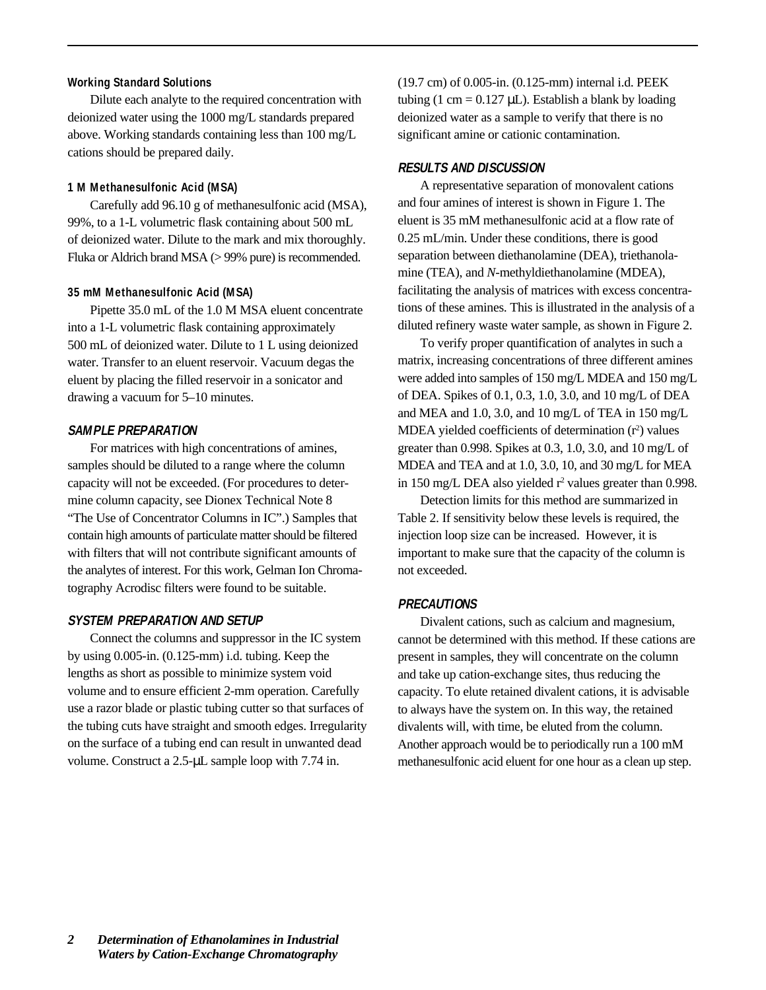#### **Working Standard Solutions**

Dilute each analyte to the required concentration with deionized water using the 1000 mg/L standards prepared above. Working standards containing less than 100 mg/L cations should be prepared daily.

#### **1 M Methanesulfonic Acid (MSA)**

Carefully add 96.10 g of methanesulfonic acid (MSA), 99%, to a 1-L volumetric flask containing about 500 mL of deionized water. Dilute to the mark and mix thoroughly. Fluka or Aldrich brand MSA (> 99% pure) is recommended.

#### **35 mM Methanesulfonic Acid (MSA)**

Pipette 35.0 mL of the 1.0 M MSA eluent concentrate into a 1-L volumetric flask containing approximately 500 mL of deionized water. Dilute to 1 L using deionized water. Transfer to an eluent reservoir. Vacuum degas the eluent by placing the filled reservoir in a sonicator and drawing a vacuum for 5–10 minutes.

### **SAMPLE PREPARATION**

For matrices with high concentrations of amines, samples should be diluted to a range where the column capacity will not be exceeded. (For procedures to determine column capacity, see Dionex Technical Note 8 "The Use of Concentrator Columns in IC".) Samples that contain high amounts of particulate matter should be filtered with filters that will not contribute significant amounts of the analytes of interest. For this work, Gelman Ion Chromatography Acrodisc filters were found to be suitable.

#### **SYSTEM PREPARATION AND SETUP**

Connect the columns and suppressor in the IC system by using 0.005-in. (0.125-mm) i.d. tubing. Keep the lengths as short as possible to minimize system void volume and to ensure efficient 2-mm operation. Carefully use a razor blade or plastic tubing cutter so that surfaces of the tubing cuts have straight and smooth edges. Irregularity on the surface of a tubing end can result in unwanted dead volume. Construct a 2.5-µL sample loop with 7.74 in.

(19.7 cm) of 0.005-in. (0.125-mm) internal i.d. PEEK tubing (1 cm =  $0.127 \mu L$ ). Establish a blank by loading deionized water as a sample to verify that there is no significant amine or cationic contamination.

#### **RESULTS AND DISCUSSION**

A representative separation of monovalent cations and four amines of interest is shown in Figure 1. The eluent is 35 mM methanesulfonic acid at a flow rate of 0.25 mL/min. Under these conditions, there is good separation between diethanolamine (DEA), triethanolamine (TEA), and *N*-methyldiethanolamine (MDEA), facilitating the analysis of matrices with excess concentrations of these amines. This is illustrated in the analysis of a diluted refinery waste water sample, as shown in Figure 2.

To verify proper quantification of analytes in such a matrix, increasing concentrations of three different amines were added into samples of 150 mg/L MDEA and 150 mg/L of DEA. Spikes of 0.1, 0.3, 1.0, 3.0, and 10 mg/L of DEA and MEA and 1.0, 3.0, and 10 mg/L of TEA in 150 mg/L MDEA yielded coefficients of determination  $(r^2)$  values greater than 0.998. Spikes at 0.3, 1.0, 3.0, and 10 mg/L of MDEA and TEA and at 1.0, 3.0, 10, and 30 mg/L for MEA in 150 mg/L DEA also yielded  $r^2$  values greater than 0.998.

Detection limits for this method are summarized in Table 2. If sensitivity below these levels is required, the injection loop size can be increased. However, it is important to make sure that the capacity of the column is not exceeded.

#### **PRECAUTIONS**

Divalent cations, such as calcium and magnesium, cannot be determined with this method. If these cations are present in samples, they will concentrate on the column and take up cation-exchange sites, thus reducing the capacity. To elute retained divalent cations, it is advisable to always have the system on. In this way, the retained divalents will, with time, be eluted from the column. Another approach would be to periodically run a 100 mM methanesulfonic acid eluent for one hour as a clean up step.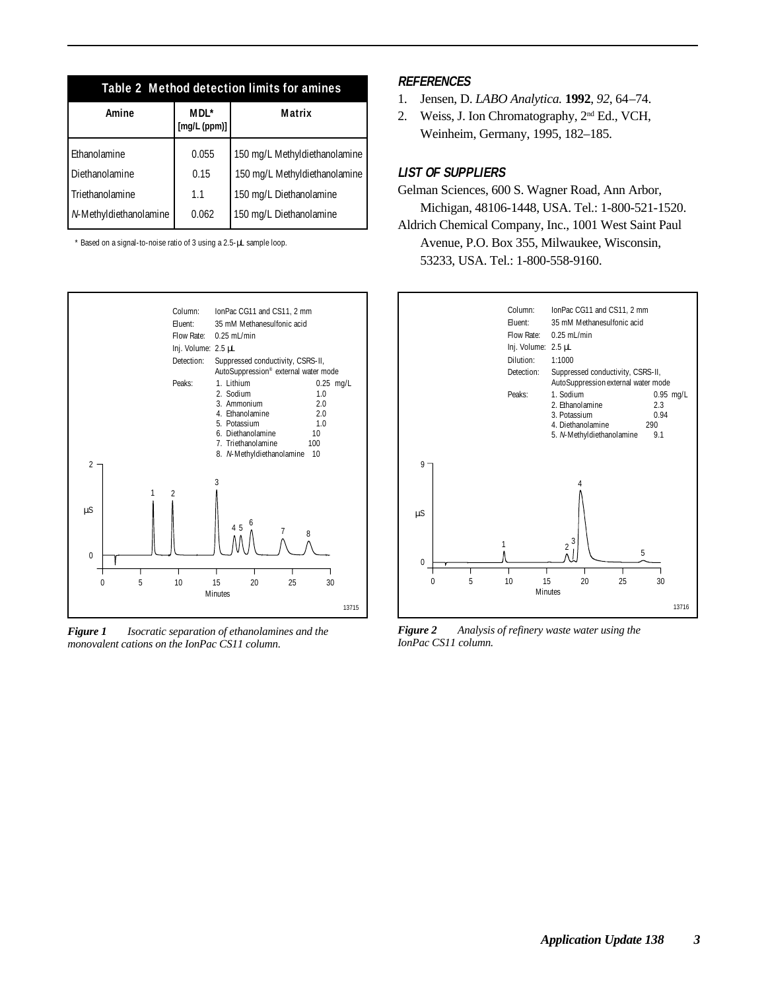| Table 2 Method detection limits for amines |                      |                               |  |  |  |
|--------------------------------------------|----------------------|-------------------------------|--|--|--|
| <b>Amine</b>                               | MDL*<br>[mg/L (ppm)] | Matrix                        |  |  |  |
| Ethanolamine                               | 0.055                | 150 mg/L Methyldiethanolamine |  |  |  |
| <b>Diethanolamine</b>                      | 0.15                 | 150 mg/L Methyldiethanolamine |  |  |  |
| Triethanolamine                            | 1.1                  | 150 mg/L Diethanolamine       |  |  |  |
| N-Methyldiethanolamine                     | 0.062                | 150 mg/L Diethanolamine       |  |  |  |

\* Based on a signal-to-noise ratio of 3 using a 2.5-µL sample loop.



*Figure 1 Isocratic separation of ethanolamines and the monovalent cations on the IonPac CS11 column.*

#### **REFERENCES**

- 1. Jensen, D. *LABO Analytica.* **1992**, *92*, 64–74.
- 2. Weiss, J. Ion Chromatography, 2nd Ed., VCH, Weinheim, Germany, 1995, 182–185.

### **LIST OF SUPPLIERS**

Gelman Sciences, 600 S. Wagner Road, Ann Arbor, Michigan, 48106-1448, USA. Tel.: 1-800-521-1520. Aldrich Chemical Company, Inc., 1001 West Saint Paul

Avenue, P.O. Box 355, Milwaukee, Wisconsin, 53233, USA. Tel.: 1-800-558-9160.



*Figure 2 Analysis of refinery waste water using the IonPac CS11 column.*